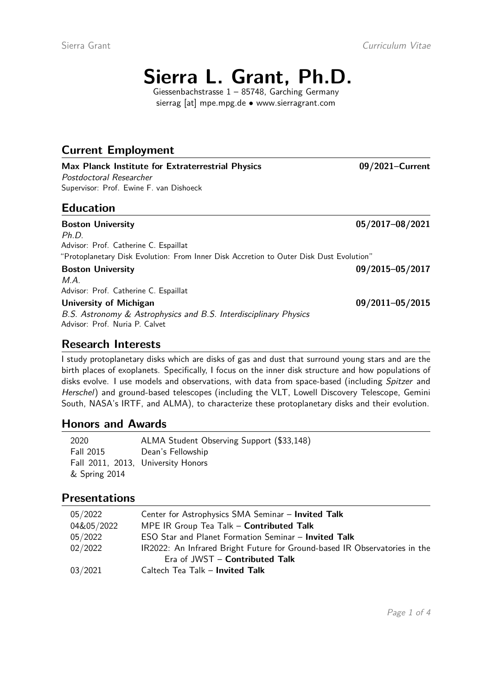Sierra Grant Curriculum Vitae

# **Sierra L. Grant, Ph.D.**

Giessenbachstrasse 1 – 85748, Garching Germany sierrag [at] mpe.mpg.de • www.sierragrant.com

### **Current Employment**

| Max Planck Institute for Extraterrestrial Physics | 09/2021-Current |
|---------------------------------------------------|-----------------|
| Postdoctoral Researcher                           |                 |
| Supervisor: Prof. Ewine F. van Dishoeck           |                 |

### **Education**

| <b>Boston University</b>                                                                | 05/2017-08/2021 |
|-----------------------------------------------------------------------------------------|-----------------|
| Ph.D.                                                                                   |                 |
| Advisor: Prof. Catherine C. Espaillat                                                   |                 |
| "Protoplanetary Disk Evolution: From Inner Disk Accretion to Outer Disk Dust Evolution" |                 |
| <b>Boston University</b>                                                                | 09/2015-05/2017 |
| M.A.                                                                                    |                 |
| Advisor: Prof. Catherine C. Espaillat                                                   |                 |
| University of Michigan                                                                  | 09/2011-05/2015 |

B.S. Astronomy & Astrophysics and B.S. Interdisciplinary Physics Advisor: Prof. Nuria P. Calvet

## **Research Interests**

I study protoplanetary disks which are disks of gas and dust that surround young stars and are the birth places of exoplanets. Specifically, I focus on the inner disk structure and how populations of disks evolve. I use models and observations, with data from space-based (including Spitzer and Herschel) and ground-based telescopes (including the VLT, Lowell Discovery Telescope, Gemini South, NASA's IRTF, and ALMA), to characterize these protoplanetary disks and their evolution.

#### **Honors and Awards**

| 2020             | ALMA Student Observing Support (\$33,148) |
|------------------|-------------------------------------------|
| <b>Fall 2015</b> | Dean's Fellowship                         |
|                  | Fall 2011, 2013, University Honors        |
| & Spring 2014    |                                           |

### **Presentations**

| 05/2022                        | Center for Astrophysics SMA Seminar - Invited Talk                         |
|--------------------------------|----------------------------------------------------------------------------|
| 04&05/2022                     | MPE IR Group Tea Talk - Contributed Talk                                   |
| 05/2022                        | ESO Star and Planet Formation Seminar - Invited Talk                       |
| 02/2022                        | IR2022: An Infrared Bright Future for Ground-based IR Observatories in the |
| Era of JWST - Contributed Talk |                                                                            |
| 03/2021                        | Caltech Tea Talk - Invited Talk                                            |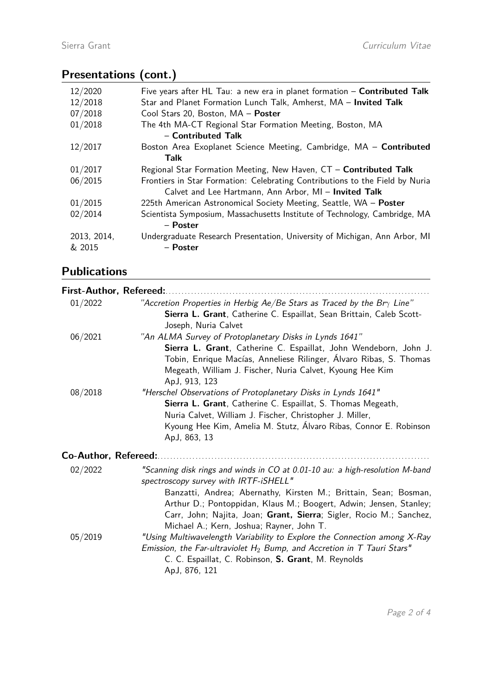## Presentations (cont.)

| Five years after HL Tau: a new era in planet formation $-$ Contributed Talk<br>Star and Planet Formation Lunch Talk, Amherst, MA - Invited Talk<br>Cool Stars 20, Boston, MA - Poster<br>The 4th MA-CT Regional Star Formation Meeting, Boston, MA |
|----------------------------------------------------------------------------------------------------------------------------------------------------------------------------------------------------------------------------------------------------|
| - Contributed Talk                                                                                                                                                                                                                                 |
| Boston Area Exoplanet Science Meeting, Cambridge, MA - Contributed                                                                                                                                                                                 |
| <b>Talk</b>                                                                                                                                                                                                                                        |
| Regional Star Formation Meeting, New Haven, CT - Contributed Talk                                                                                                                                                                                  |
| Frontiers in Star Formation: Celebrating Contributions to the Field by Nuria                                                                                                                                                                       |
| Calvet and Lee Hartmann, Ann Arbor, MI - Invited Talk                                                                                                                                                                                              |
| 225th American Astronomical Society Meeting, Seattle, WA - Poster                                                                                                                                                                                  |
| Scientista Symposium, Massachusetts Institute of Technology, Cambridge, MA                                                                                                                                                                         |
| - Poster                                                                                                                                                                                                                                           |
| Undergraduate Research Presentation, University of Michigan, Ann Arbor, MI                                                                                                                                                                         |
| - Poster                                                                                                                                                                                                                                           |
|                                                                                                                                                                                                                                                    |

## **Publications**

| <b>First-Author, Refereed:</b>                                                                                                                                                                                                                                                                                                                                                                                                                                                              |
|---------------------------------------------------------------------------------------------------------------------------------------------------------------------------------------------------------------------------------------------------------------------------------------------------------------------------------------------------------------------------------------------------------------------------------------------------------------------------------------------|
| "Accretion Properties in Herbig Ae/Be Stars as Traced by the Br $\gamma$ Line"<br>Sierra L. Grant, Catherine C. Espaillat, Sean Brittain, Caleb Scott-<br>Joseph, Nuria Calvet                                                                                                                                                                                                                                                                                                              |
| "An ALMA Survey of Protoplanetary Disks in Lynds 1641"<br>Sierra L. Grant, Catherine C. Espaillat, John Wendeborn, John J.<br>Tobin, Enrique Macías, Anneliese Rilinger, Álvaro Ribas, S. Thomas<br>Megeath, William J. Fischer, Nuria Calvet, Kyoung Hee Kim<br>ApJ, 913, 123                                                                                                                                                                                                              |
| "Herschel Observations of Protoplanetary Disks in Lynds 1641"<br>Sierra L. Grant, Catherine C. Espaillat, S. Thomas Megeath,<br>Nuria Calvet, William J. Fischer, Christopher J. Miller,<br>Kyoung Hee Kim, Amelia M. Stutz, Álvaro Ribas, Connor E. Robinson<br>ApJ, 863, 13                                                                                                                                                                                                               |
| Co-Author, Refereed:                                                                                                                                                                                                                                                                                                                                                                                                                                                                        |
| "Scanning disk rings and winds in CO at 0.01-10 au: a high-resolution M-band<br>spectroscopy survey with IRTF-iSHELL"                                                                                                                                                                                                                                                                                                                                                                       |
| Banzatti, Andrea; Abernathy, Kirsten M.; Brittain, Sean; Bosman,<br>Arthur D.; Pontoppidan, Klaus M.; Boogert, Adwin; Jensen, Stanley;<br>Carr, John; Najita, Joan; Grant, Sierra; Sigler, Rocio M.; Sanchez,<br>Michael A.; Kern, Joshua; Rayner, John T.<br>"Using Multiwavelength Variability to Explore the Connection among X-Ray<br>Emission, the Far-ultraviolet $H_2$ Bump, and Accretion in T Tauri Stars"<br>C. C. Espaillat, C. Robinson, S. Grant, M. Reynolds<br>ApJ, 876, 121 |
|                                                                                                                                                                                                                                                                                                                                                                                                                                                                                             |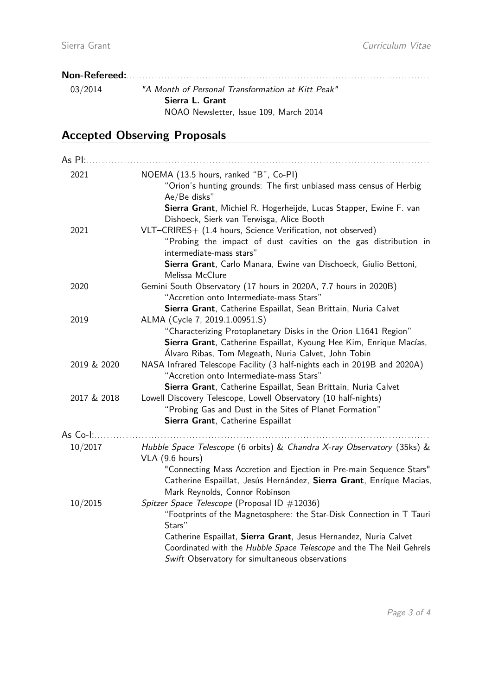| 03/2014 | "A Month of Personal Transformation at Kitt Peak" |
|---------|---------------------------------------------------|
|         | Sierra L. Grant                                   |
|         | NOAO Newsletter, Issue 109, March 2014            |
|         |                                                   |

## **Accepted Observing Proposals**

| As PI:      |                                                                                                                      |
|-------------|----------------------------------------------------------------------------------------------------------------------|
| 2021        | NOEMA (13.5 hours, ranked "B", Co-PI)<br>"Orion's hunting grounds: The first unbiased mass census of Herbig          |
|             | Ae/Be disks"                                                                                                         |
|             | Sierra Grant, Michiel R. Hogerheijde, Lucas Stapper, Ewine F. van<br>Dishoeck, Sierk van Terwisga, Alice Booth       |
| 2021        | VLT-CRIRES+ (1.4 hours, Science Verification, not observed)                                                          |
|             | "Probing the impact of dust cavities on the gas distribution in<br>intermediate-mass stars"                          |
|             | Sierra Grant, Carlo Manara, Ewine van Dischoeck, Giulio Bettoni,                                                     |
|             | Melissa McClure                                                                                                      |
| 2020        | Gemini South Observatory (17 hours in 2020A, 7.7 hours in 2020B)<br>"Accretion onto Intermediate-mass Stars"         |
|             | Sierra Grant, Catherine Espaillat, Sean Brittain, Nuria Calvet                                                       |
| 2019        | ALMA (Cycle 7, 2019.1.00951.S)                                                                                       |
|             | "Characterizing Protoplanetary Disks in the Orion L1641 Region"                                                      |
|             | Sierra Grant, Catherine Espaillat, Kyoung Hee Kim, Enrique Macías,                                                   |
|             | Álvaro Ribas, Tom Megeath, Nuria Calvet, John Tobin                                                                  |
| 2019 & 2020 | NASA Infrared Telescope Facility (3 half-nights each in 2019B and 2020A)<br>"Accretion onto Intermediate-mass Stars" |
|             | Sierra Grant, Catherine Espaillat, Sean Brittain, Nuria Calvet                                                       |
| 2017 & 2018 | Lowell Discovery Telescope, Lowell Observatory (10 half-nights)                                                      |
|             | "Probing Gas and Dust in the Sites of Planet Formation"                                                              |
|             | Sierra Grant, Catherine Espaillat                                                                                    |
| As Co-l:.   |                                                                                                                      |
| 10/2017     | Hubble Space Telescope (6 orbits) & Chandra X-ray Observatory (35ks) &<br>VLA (9.6 hours)                            |
|             | "Connecting Mass Accretion and Ejection in Pre-main Sequence Stars"                                                  |
|             | Catherine Espaillat, Jesús Hernández, Sierra Grant, Enríque Macias,                                                  |
|             | Mark Reynolds, Connor Robinson                                                                                       |
| 10/2015     | Spitzer Space Telescope (Proposal ID #12036)                                                                         |
|             | "Footprints of the Magnetosphere: the Star-Disk Connection in T Tauri<br>Stars"                                      |
|             | Catherine Espaillat, Sierra Grant, Jesus Hernandez, Nuria Calvet                                                     |
|             | Coordinated with the Hubble Space Telescope and the The Neil Gehrels                                                 |
|             | Swift Observatory for simultaneous observations                                                                      |